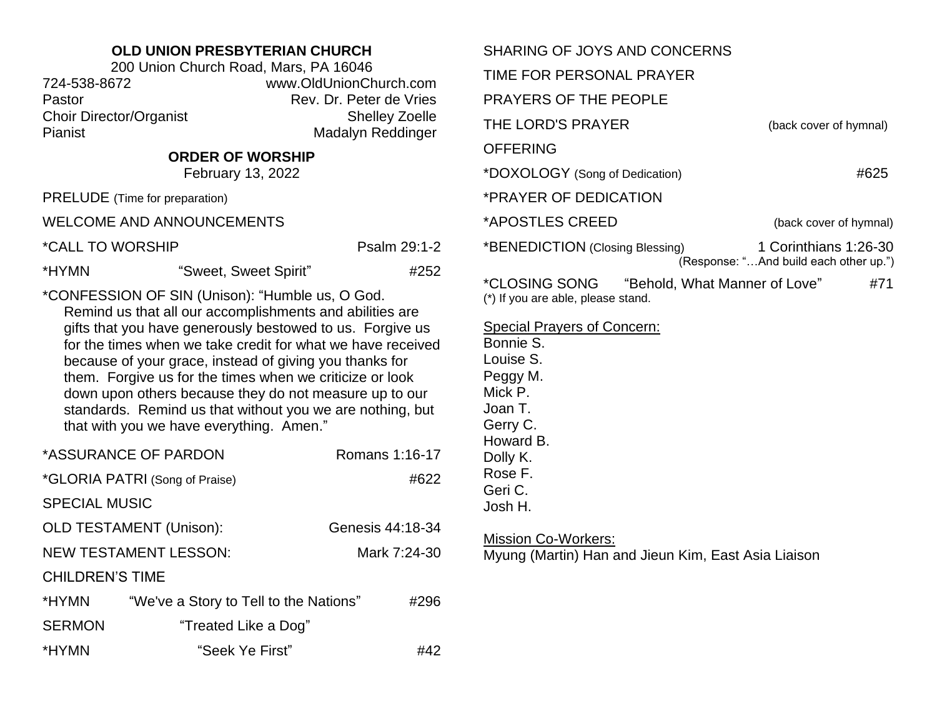## **OLD UNION PRESBYTERIAN CHURCH**

| 200 Union Church Road, Mars, PA 16046 |                         |  |
|---------------------------------------|-------------------------|--|
| 724-538-8672                          | www.OldUnionChurch.com  |  |
| Pastor                                | Rev. Dr. Peter de Vries |  |
| <b>Choir Director/Organist</b>        | <b>Shelley Zoelle</b>   |  |
| Pianist                               | Madalyn Reddinger       |  |

## **ORDER OF WORSHIP**

February 13, 2022

PRELUDE (Time for preparation)

WELCOME AND ANNOUNCEMENTS

| *CALL TO WORSHIP | Psalm 29:1-2 |
|------------------|--------------|
|                  |              |

\*HYMN "Sweet, Sweet Spirit" #252

\*CONFESSION OF SIN (Unison): "Humble us, O God.

Remind us that all our accomplishments and abilities are gifts that you have generously bestowed to us. Forgive us for the times when we take credit for what we have received because of your grace, instead of giving you thanks for them. Forgive us for the times when we criticize or look down upon others because they do not measure up to our standards. Remind us that without you we are nothing, but that with you we have everything. Amen."

|                        | *ASSURANCE OF PARDON                   | Romans 1:16-17   |
|------------------------|----------------------------------------|------------------|
|                        | *GLORIA PATRI (Song of Praise)         | #622             |
| <b>SPECIAL MUSIC</b>   |                                        |                  |
|                        | <b>OLD TESTAMENT (Unison):</b>         | Genesis 44:18-34 |
|                        | <b>NEW TESTAMENT LESSON:</b>           | Mark 7:24-30     |
| <b>CHILDREN'S TIME</b> |                                        |                  |
| *HYMN                  | "We've a Story to Tell to the Nations" | #296             |
| <b>SERMON</b>          | "Treated Like a Dog"                   |                  |
| *HYMN                  | "Seek Ye First"                        | #42              |

| SHARING OF JOYS AND CONCERNS                                                                       |                                                                 |
|----------------------------------------------------------------------------------------------------|-----------------------------------------------------------------|
| TIME FOR PERSONAL PRAYER                                                                           |                                                                 |
| <b>PRAYERS OF THE PEOPLE</b>                                                                       |                                                                 |
| THE LORD'S PRAYER                                                                                  | (back cover of hymnal)                                          |
| <b>OFFERING</b>                                                                                    |                                                                 |
| *DOXOLOGY (Song of Dedication)                                                                     | #625                                                            |
| *PRAYER OF DEDICATION                                                                              |                                                                 |
| *APOSTLES CREED                                                                                    | (back cover of hymnal)                                          |
| *BENEDICTION (Closing Blessing)                                                                    | 1 Corinthians 1:26-30<br>(Response: "And build each other up.") |
| <i><b>*CLOSING SONG</b></i><br>"Behold, What Manner of Love"<br>(*) If you are able, please stand. | #71                                                             |

Special Prayers of Concern:

Bonnie S. Louise S. Peggy M. Mick P. Joan T. Gerry C. Howard B. Dolly K. Rose F. Geri C. Josh H.

#### Mission Co-Workers:

Myung (Martin) Han and Jieun Kim, East Asia Liaison